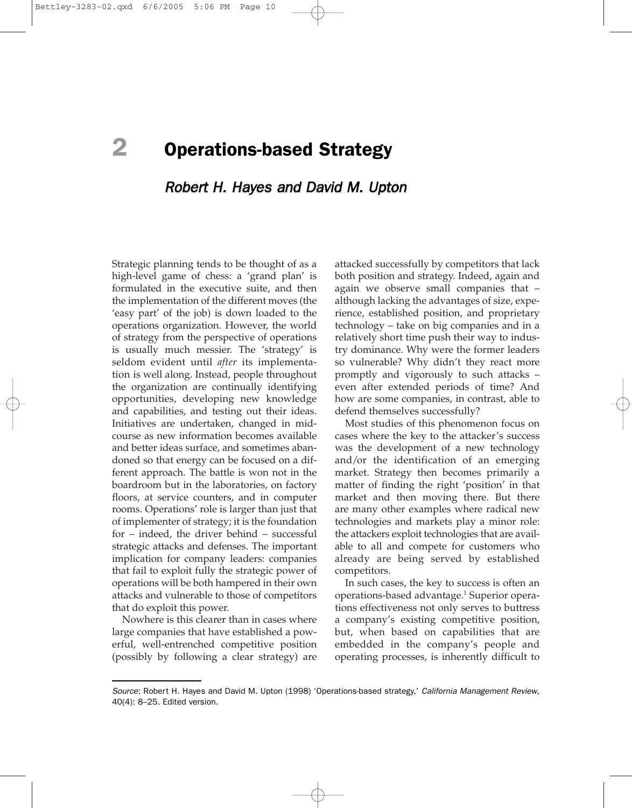# 2 Operations-based Strategy

## Robert H. Hayes and David M. Upton

Strategic planning tends to be thought of as a high-level game of chess: a 'grand plan' is formulated in the executive suite, and then the implementation of the different moves (the 'easy part' of the job) is down loaded to the operations organization. However, the world of strategy from the perspective of operations is usually much messier. The 'strategy' is seldom evident until *after* its implementation is well along. Instead, people throughout the organization are continually identifying opportunities, developing new knowledge and capabilities, and testing out their ideas. Initiatives are undertaken, changed in midcourse as new information becomes available and better ideas surface, and sometimes abandoned so that energy can be focused on a different approach. The battle is won not in the boardroom but in the laboratories, on factory floors, at service counters, and in computer rooms. Operations' role is larger than just that of implementer of strategy; it is the foundation for – indeed, the driver behind – successful strategic attacks and defenses. The important implication for company leaders: companies that fail to exploit fully the strategic power of operations will be both hampered in their own attacks and vulnerable to those of competitors that do exploit this power.

Nowhere is this clearer than in cases where large companies that have established a powerful, well-entrenched competitive position (possibly by following a clear strategy) are

attacked successfully by competitors that lack both position and strategy. Indeed, again and again we observe small companies that – although lacking the advantages of size, experience, established position, and proprietary technology – take on big companies and in a relatively short time push their way to industry dominance. Why were the former leaders so vulnerable? Why didn't they react more promptly and vigorously to such attacks – even after extended periods of time? And how are some companies, in contrast, able to defend themselves successfully?

Most studies of this phenomenon focus on cases where the key to the attacker's success was the development of a new technology and/or the identification of an emerging market. Strategy then becomes primarily a matter of finding the right 'position' in that market and then moving there. But there are many other examples where radical new technologies and markets play a minor role: the attackers exploit technologies that are available to all and compete for customers who already are being served by established competitors.

In such cases, the key to success is often an operations-based advantage.1 Superior operations effectiveness not only serves to buttress a company's existing competitive position, but, when based on capabilities that are embedded in the company's people and operating processes, is inherently difficult to

Source: Robert H. Hayes and David M. Upton (1998) 'Operations-based strategy,' California Management Review, 40(4): 8–25. Edited version.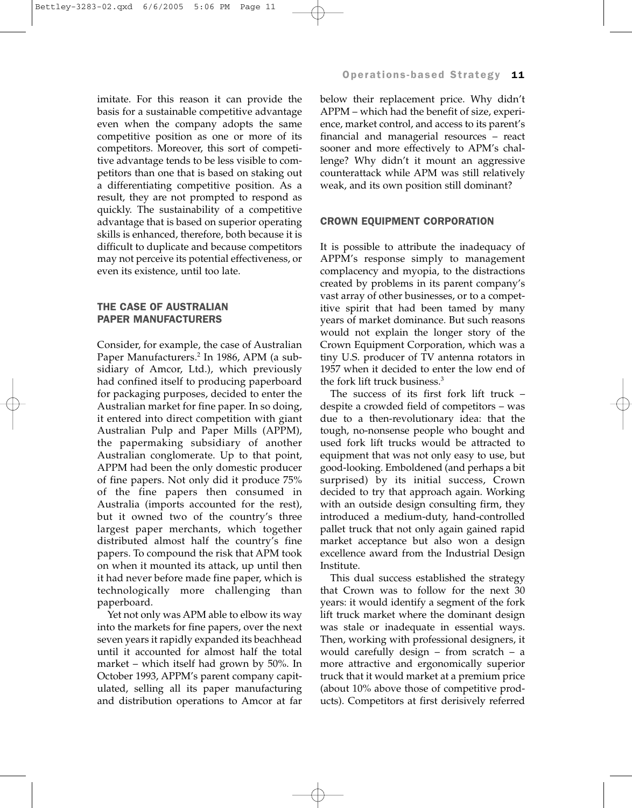imitate. For this reason it can provide the basis for a sustainable competitive advantage even when the company adopts the same competitive position as one or more of its competitors. Moreover, this sort of competitive advantage tends to be less visible to competitors than one that is based on staking out a differentiating competitive position. As a result, they are not prompted to respond as quickly. The sustainability of a competitive advantage that is based on superior operating skills is enhanced, therefore, both because it is difficult to duplicate and because competitors may not perceive its potential effectiveness, or even its existence, until too late.

## THE CASE OF AUSTRALIAN PAPER MANUFACTURERS

Consider, for example, the case of Australian Paper Manufacturers.<sup>2</sup> In 1986, APM (a subsidiary of Amcor, Ltd.), which previously had confined itself to producing paperboard for packaging purposes, decided to enter the Australian market for fine paper. In so doing, it entered into direct competition with giant Australian Pulp and Paper Mills (APPM), the papermaking subsidiary of another Australian conglomerate. Up to that point, APPM had been the only domestic producer of fine papers. Not only did it produce 75% of the fine papers then consumed in Australia (imports accounted for the rest), but it owned two of the country's three largest paper merchants, which together distributed almost half the country's fine papers. To compound the risk that APM took on when it mounted its attack, up until then it had never before made fine paper, which is technologically more challenging than paperboard.

Yet not only was APM able to elbow its way into the markets for fine papers, over the next seven years it rapidly expanded its beachhead until it accounted for almost half the total market – which itself had grown by 50%. In October 1993, APPM's parent company capitulated, selling all its paper manufacturing and distribution operations to Amcor at far

#### Operations-based Strategy 11

below their replacement price. Why didn't APPM – which had the benefit of size, experience, market control, and access to its parent's financial and managerial resources – react sooner and more effectively to APM's challenge? Why didn't it mount an aggressive counterattack while APM was still relatively weak, and its own position still dominant?

#### CROWN EQUIPMENT CORPORATION

It is possible to attribute the inadequacy of APPM's response simply to management complacency and myopia, to the distractions created by problems in its parent company's vast array of other businesses, or to a competitive spirit that had been tamed by many years of market dominance. But such reasons would not explain the longer story of the Crown Equipment Corporation, which was a tiny U.S. producer of TV antenna rotators in 1957 when it decided to enter the low end of the fork lift truck business.3

The success of its first fork lift truck – despite a crowded field of competitors – was due to a then-revolutionary idea: that the tough, no-nonsense people who bought and used fork lift trucks would be attracted to equipment that was not only easy to use, but good-looking. Emboldened (and perhaps a bit surprised) by its initial success, Crown decided to try that approach again. Working with an outside design consulting firm, they introduced a medium-duty, hand-controlled pallet truck that not only again gained rapid market acceptance but also won a design excellence award from the Industrial Design Institute.

This dual success established the strategy that Crown was to follow for the next 30 years: it would identify a segment of the fork lift truck market where the dominant design was stale or inadequate in essential ways. Then, working with professional designers, it would carefully design – from scratch – a more attractive and ergonomically superior truck that it would market at a premium price (about 10% above those of competitive products). Competitors at first derisively referred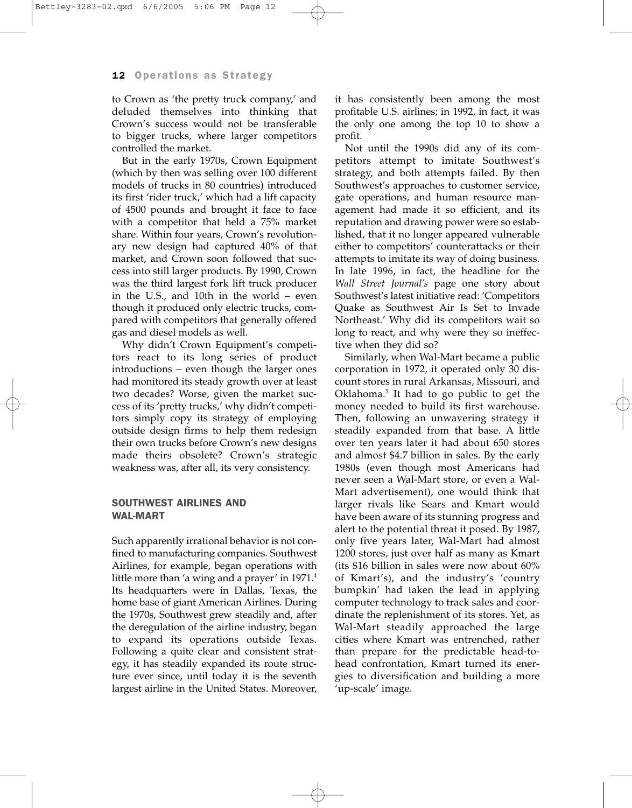to Crown as 'the pretty truck company,' and deluded themselves into thinking that Crown's success would not be transferable to bigger trucks, where larger competitors controlled the market.

But in the early 1970s, Crown Equipment (which by then was selling over 100 different models of trucks in 80 countries) introduced its first 'rider truck,' which had a lift capacity of 4500 pounds and brought it face to face with a competitor that held a 75% market share. Within four years, Crown's revolutionary new design had captured 40% of that market, and Crown soon followed that success into still larger products. By 1990, Crown was the third largest fork lift truck producer in the U.S., and 10th in the world – even though it produced only electric trucks, compared with competitors that generally offered gas and diesel models as well.

Why didn't Crown Equipment's competitors react to its long series of product introductions – even though the larger ones had monitored its steady growth over at least two decades? Worse, given the market success of its 'pretty trucks,' why didn't competitors simply copy its strategy of employing outside design firms to help them redesign their own trucks before Crown's new designs made theirs obsolete? Crown's strategic weakness was, after all, its very consistency.

### SOUTHWEST AIRLINES AND WAL-MART

Such apparently irrational behavior is not confined to manufacturing companies. Southwest Airlines, for example, began operations with little more than 'a wing and a prayer' in  $1971<sup>4</sup>$ Its headquarters were in Dallas, Texas, the home base of giant American Airlines. During the 1970s, Southwest grew steadily and, after the deregulation of the airline industry, began to expand its operations outside Texas. Following a quite clear and consistent strategy, it has steadily expanded its route structure ever since, until today it is the seventh largest airline in the United States. Moreover,

it has consistently been among the most profitable U.S. airlines; in 1992, in fact, it was the only one among the top 10 to show a profit.

Not until the 1990s did any of its competitors attempt to imitate Southwest's strategy, and both attempts failed. By then Southwest's approaches to customer service, gate operations, and human resource management had made it so efficient, and its reputation and drawing power were so established, that it no longer appeared vulnerable either to competitors' counterattacks or their attempts to imitate its way of doing business. In late 1996, in fact, the headline for the *Wall Street Journal's* page one story about Southwest's latest initiative read: 'Competitors Quake as Southwest Air Is Set to Invade Northeast.' Why did its competitors wait so long to react, and why were they so ineffective when they did so?

Similarly, when Wal-Mart became a public corporation in 1972, it operated only 30 discount stores in rural Arkansas, Missouri, and Oklahoma. $5$  It had to go public to get the money needed to build its first warehouse. Then, following an unwavering strategy it steadily expanded from that base. A little over ten years later it had about 650 stores and almost \$4.7 billion in sales. By the early 1980s (even though most Americans had never seen a Wal-Mart store, or even a Wal-Mart advertisement), one would think that larger rivals like Sears and Kmart would have been aware of its stunning progress and alert to the potential threat it posed. By 1987, only five years later, Wal-Mart had almost 1200 stores, just over half as many as Kmart (its \$16 billion in sales were now about 60% of Kmart's), and the industry's 'country bumpkin' had taken the lead in applying computer technology to track sales and coordinate the replenishment of its stores. Yet, as Wal-Mart steadily approached the large cities where Kmart was entrenched, rather than prepare for the predictable head-tohead confrontation, Kmart turned its energies to diversification and building a more 'up-scale' image.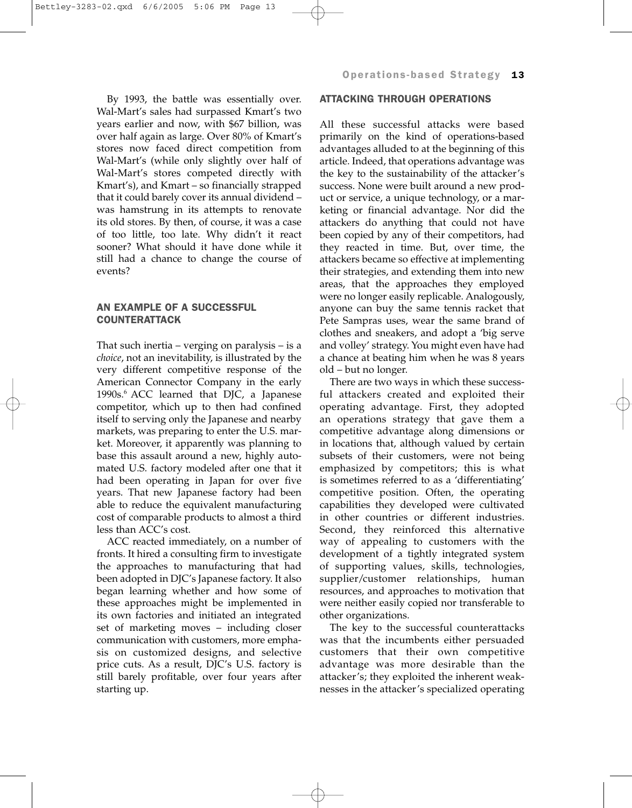By 1993, the battle was essentially over. Wal-Mart's sales had surpassed Kmart's two years earlier and now, with \$67 billion, was over half again as large. Over 80% of Kmart's stores now faced direct competition from Wal-Mart's (while only slightly over half of Wal-Mart's stores competed directly with Kmart's), and Kmart – so financially strapped that it could barely cover its annual dividend – was hamstrung in its attempts to renovate its old stores. By then, of course, it was a case of too little, too late. Why didn't it react sooner? What should it have done while it still had a chance to change the course of events?

## AN EXAMPLE OF A SUCCESSFUL **COUNTERATTACK**

That such inertia – verging on paralysis – is a *choice*, not an inevitability, is illustrated by the very different competitive response of the American Connector Company in the early 1990s.<sup>6</sup> ACC learned that DJC, a Japanese competitor, which up to then had confined itself to serving only the Japanese and nearby markets, was preparing to enter the U.S. market. Moreover, it apparently was planning to base this assault around a new, highly automated U.S. factory modeled after one that it had been operating in Japan for over five years. That new Japanese factory had been able to reduce the equivalent manufacturing cost of comparable products to almost a third less than ACC's cost.

ACC reacted immediately, on a number of fronts. It hired a consulting firm to investigate the approaches to manufacturing that had been adopted in DJC's Japanese factory. It also began learning whether and how some of these approaches might be implemented in its own factories and initiated an integrated set of marketing moves – including closer communication with customers, more emphasis on customized designs, and selective price cuts. As a result, DJC's U.S. factory is still barely profitable, over four years after starting up.

#### ATTACKING THROUGH OPERATIONS

All these successful attacks were based primarily on the kind of operations-based advantages alluded to at the beginning of this article. Indeed, that operations advantage was the key to the sustainability of the attacker's success. None were built around a new product or service, a unique technology, or a marketing or financial advantage. Nor did the attackers do anything that could not have been copied by any of their competitors, had they reacted in time. But, over time, the attackers became so effective at implementing their strategies, and extending them into new areas, that the approaches they employed were no longer easily replicable. Analogously, anyone can buy the same tennis racket that Pete Sampras uses, wear the same brand of clothes and sneakers, and adopt a 'big serve and volley' strategy. You might even have had a chance at beating him when he was 8 years old – but no longer.

There are two ways in which these successful attackers created and exploited their operating advantage. First, they adopted an operations strategy that gave them a competitive advantage along dimensions or in locations that, although valued by certain subsets of their customers, were not being emphasized by competitors; this is what is sometimes referred to as a 'differentiating' competitive position. Often, the operating capabilities they developed were cultivated in other countries or different industries. Second, they reinforced this alternative way of appealing to customers with the development of a tightly integrated system of supporting values, skills, technologies, supplier/customer relationships, human resources, and approaches to motivation that were neither easily copied nor transferable to other organizations.

The key to the successful counterattacks was that the incumbents either persuaded customers that their own competitive advantage was more desirable than the attacker's; they exploited the inherent weaknesses in the attacker's specialized operating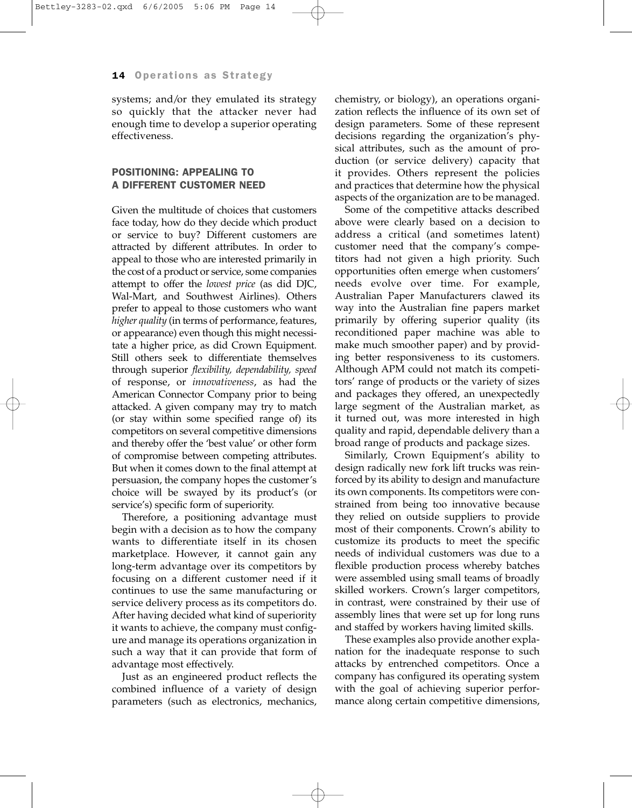systems; and/or they emulated its strategy so quickly that the attacker never had enough time to develop a superior operating effectiveness.

## POSITIONING: APPEALING TO A DIFFERENT CUSTOMER NEED

Given the multitude of choices that customers face today, how do they decide which product or service to buy? Different customers are attracted by different attributes. In order to appeal to those who are interested primarily in the cost of a product or service, some companies attempt to offer the *lowest price* (as did DJC, Wal-Mart, and Southwest Airlines). Others prefer to appeal to those customers who want *higher quality* (in terms of performance, features, or appearance) even though this might necessitate a higher price, as did Crown Equipment. Still others seek to differentiate themselves through superior *flexibility, dependability, speed* of response, or *innovativeness*, as had the American Connector Company prior to being attacked. A given company may try to match (or stay within some specified range of) its competitors on several competitive dimensions and thereby offer the 'best value' or other form of compromise between competing attributes. But when it comes down to the final attempt at persuasion, the company hopes the customer's choice will be swayed by its product's (or service's) specific form of superiority.

Therefore, a positioning advantage must begin with a decision as to how the company wants to differentiate itself in its chosen marketplace. However, it cannot gain any long-term advantage over its competitors by focusing on a different customer need if it continues to use the same manufacturing or service delivery process as its competitors do. After having decided what kind of superiority it wants to achieve, the company must configure and manage its operations organization in such a way that it can provide that form of advantage most effectively.

Just as an engineered product reflects the combined influence of a variety of design parameters (such as electronics, mechanics, chemistry, or biology), an operations organization reflects the influence of its own set of design parameters. Some of these represent decisions regarding the organization's physical attributes, such as the amount of production (or service delivery) capacity that it provides. Others represent the policies and practices that determine how the physical aspects of the organization are to be managed.

Some of the competitive attacks described above were clearly based on a decision to address a critical (and sometimes latent) customer need that the company's competitors had not given a high priority. Such opportunities often emerge when customers' needs evolve over time. For example, Australian Paper Manufacturers clawed its way into the Australian fine papers market primarily by offering superior quality (its reconditioned paper machine was able to make much smoother paper) and by providing better responsiveness to its customers. Although APM could not match its competitors' range of products or the variety of sizes and packages they offered, an unexpectedly large segment of the Australian market, as it turned out, was more interested in high quality and rapid, dependable delivery than a broad range of products and package sizes.

Similarly, Crown Equipment's ability to design radically new fork lift trucks was reinforced by its ability to design and manufacture its own components. Its competitors were constrained from being too innovative because they relied on outside suppliers to provide most of their components. Crown's ability to customize its products to meet the specific needs of individual customers was due to a flexible production process whereby batches were assembled using small teams of broadly skilled workers. Crown's larger competitors, in contrast, were constrained by their use of assembly lines that were set up for long runs and staffed by workers having limited skills.

These examples also provide another explanation for the inadequate response to such attacks by entrenched competitors. Once a company has configured its operating system with the goal of achieving superior performance along certain competitive dimensions,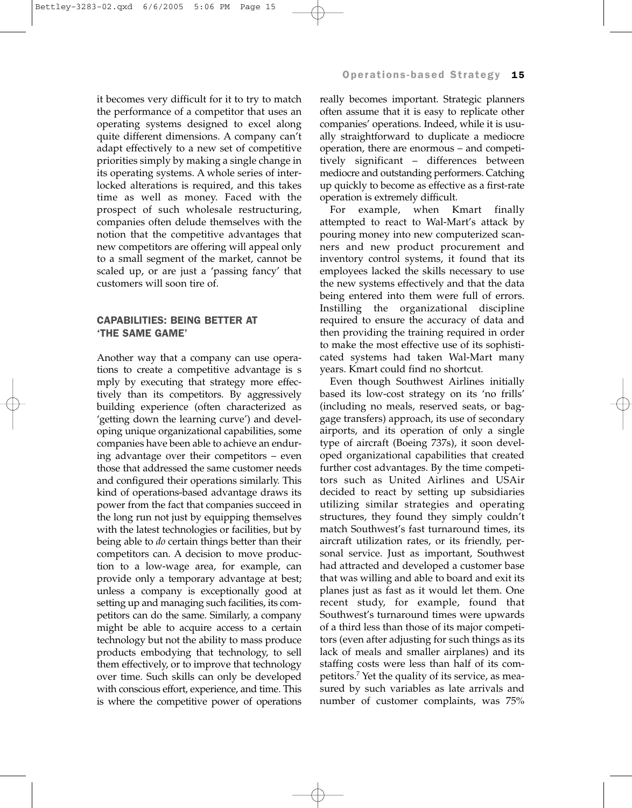it becomes very difficult for it to try to match the performance of a competitor that uses an operating systems designed to excel along quite different dimensions. A company can't adapt effectively to a new set of competitive priorities simply by making a single change in its operating systems. A whole series of interlocked alterations is required, and this takes time as well as money. Faced with the prospect of such wholesale restructuring, companies often delude themselves with the notion that the competitive advantages that new competitors are offering will appeal only to a small segment of the market, cannot be scaled up, or are just a 'passing fancy' that customers will soon tire of.

## CAPABILITIES: BEING BETTER AT 'THE SAME GAME'

Another way that a company can use operations to create a competitive advantage is s mply by executing that strategy more effectively than its competitors. By aggressively building experience (often characterized as 'getting down the learning curve') and developing unique organizational capabilities, some companies have been able to achieve an enduring advantage over their competitors – even those that addressed the same customer needs and configured their operations similarly. This kind of operations-based advantage draws its power from the fact that companies succeed in the long run not just by equipping themselves with the latest technologies or facilities, but by being able to *do* certain things better than their competitors can. A decision to move production to a low-wage area, for example, can provide only a temporary advantage at best; unless a company is exceptionally good at setting up and managing such facilities, its competitors can do the same. Similarly, a company might be able to acquire access to a certain technology but not the ability to mass produce products embodying that technology, to sell them effectively, or to improve that technology over time. Such skills can only be developed with conscious effort, experience, and time. This is where the competitive power of operations

#### Operations-based Strategy 15

really becomes important. Strategic planners often assume that it is easy to replicate other companies' operations. Indeed, while it is usually straightforward to duplicate a mediocre operation, there are enormous – and competitively significant – differences between mediocre and outstanding performers. Catching up quickly to become as effective as a first-rate operation is extremely difficult.

For example, when Kmart finally attempted to react to Wal-Mart's attack by pouring money into new computerized scanners and new product procurement and inventory control systems, it found that its employees lacked the skills necessary to use the new systems effectively and that the data being entered into them were full of errors. Instilling the organizational discipline required to ensure the accuracy of data and then providing the training required in order to make the most effective use of its sophisticated systems had taken Wal-Mart many years. Kmart could find no shortcut.

Even though Southwest Airlines initially based its low-cost strategy on its 'no frills' (including no meals, reserved seats, or baggage transfers) approach, its use of secondary airports, and its operation of only a single type of aircraft (Boeing 737s), it soon developed organizational capabilities that created further cost advantages. By the time competitors such as United Airlines and USAir decided to react by setting up subsidiaries utilizing similar strategies and operating structures, they found they simply couldn't match Southwest's fast turnaround times, its aircraft utilization rates, or its friendly, personal service. Just as important, Southwest had attracted and developed a customer base that was willing and able to board and exit its planes just as fast as it would let them. One recent study, for example, found that Southwest's turnaround times were upwards of a third less than those of its major competitors (even after adjusting for such things as its lack of meals and smaller airplanes) and its staffing costs were less than half of its competitors.7 Yet the quality of its service, as measured by such variables as late arrivals and number of customer complaints, was 75%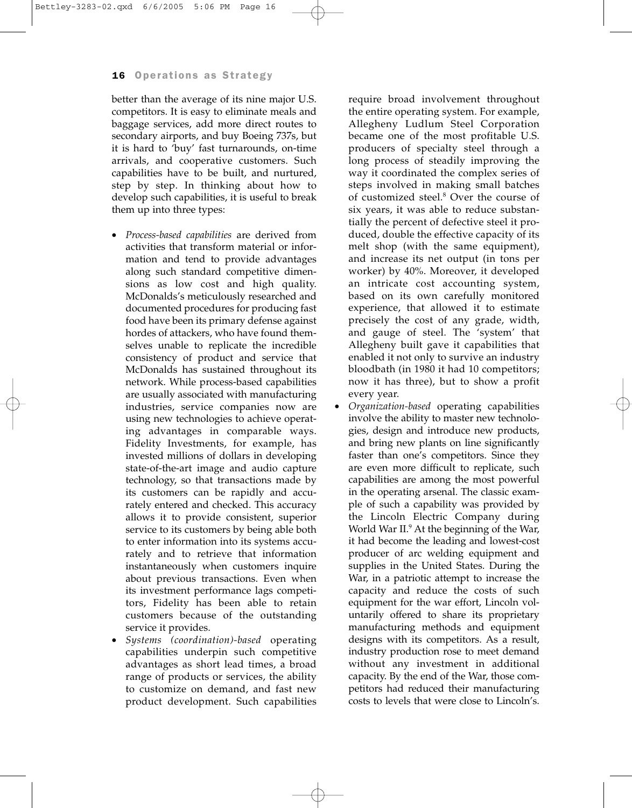better than the average of its nine major U.S. competitors. It is easy to eliminate meals and baggage services, add more direct routes to secondary airports, and buy Boeing 737s, but it is hard to 'buy' fast turnarounds, on-time arrivals, and cooperative customers. Such capabilities have to be built, and nurtured, step by step. In thinking about how to develop such capabilities, it is useful to break them up into three types:

- *Process-based capabilities* are derived from activities that transform material or information and tend to provide advantages along such standard competitive dimensions as low cost and high quality. McDonalds's meticulously researched and documented procedures for producing fast food have been its primary defense against hordes of attackers, who have found themselves unable to replicate the incredible consistency of product and service that McDonalds has sustained throughout its network. While process-based capabilities are usually associated with manufacturing industries, service companies now are using new technologies to achieve operating advantages in comparable ways. Fidelity Investments, for example, has invested millions of dollars in developing state-of-the-art image and audio capture technology, so that transactions made by its customers can be rapidly and accurately entered and checked. This accuracy allows it to provide consistent, superior service to its customers by being able both to enter information into its systems accurately and to retrieve that information instantaneously when customers inquire about previous transactions. Even when its investment performance lags competitors, Fidelity has been able to retain customers because of the outstanding service it provides.
- *Systems (coordination)-based* operating capabilities underpin such competitive advantages as short lead times, a broad range of products or services, the ability to customize on demand, and fast new product development. Such capabilities

require broad involvement throughout the entire operating system. For example, Allegheny Ludlum Steel Corporation became one of the most profitable U.S. producers of specialty steel through a long process of steadily improving the way it coordinated the complex series of steps involved in making small batches of customized steel.8 Over the course of six years, it was able to reduce substantially the percent of defective steel it produced, double the effective capacity of its melt shop (with the same equipment), and increase its net output (in tons per worker) by 40%. Moreover, it developed an intricate cost accounting system, based on its own carefully monitored experience, that allowed it to estimate precisely the cost of any grade, width, and gauge of steel. The 'system' that Allegheny built gave it capabilities that enabled it not only to survive an industry bloodbath (in 1980 it had 10 competitors; now it has three), but to show a profit every year.

• *Organization-based* operating capabilities involve the ability to master new technologies, design and introduce new products, and bring new plants on line significantly faster than one's competitors. Since they are even more difficult to replicate, such capabilities are among the most powerful in the operating arsenal. The classic example of such a capability was provided by the Lincoln Electric Company during World War II.<sup>9</sup> At the beginning of the War, it had become the leading and lowest-cost producer of arc welding equipment and supplies in the United States. During the War, in a patriotic attempt to increase the capacity and reduce the costs of such equipment for the war effort, Lincoln voluntarily offered to share its proprietary manufacturing methods and equipment designs with its competitors. As a result, industry production rose to meet demand without any investment in additional capacity. By the end of the War, those competitors had reduced their manufacturing costs to levels that were close to Lincoln's.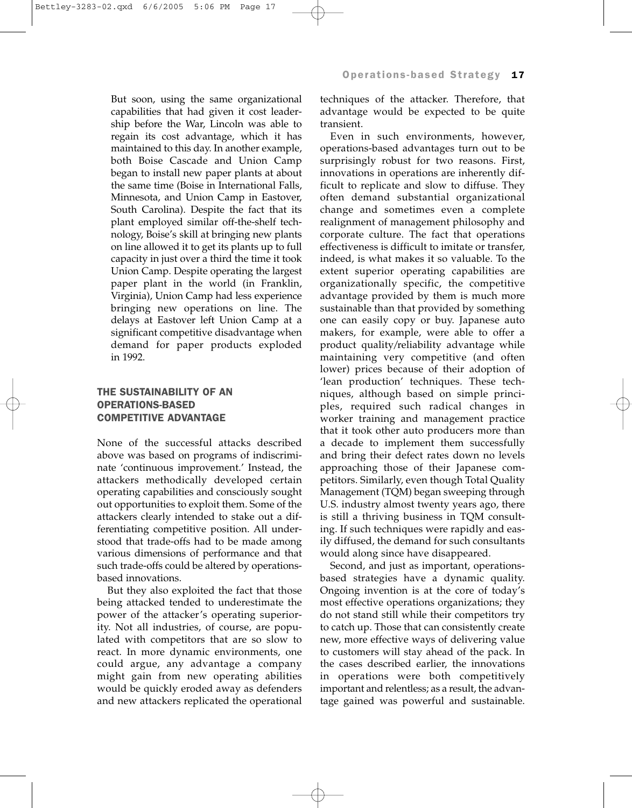But soon, using the same organizational capabilities that had given it cost leadership before the War, Lincoln was able to regain its cost advantage, which it has maintained to this day. In another example, both Boise Cascade and Union Camp began to install new paper plants at about the same time (Boise in International Falls, Minnesota, and Union Camp in Eastover, South Carolina). Despite the fact that its plant employed similar off-the-shelf technology, Boise's skill at bringing new plants on line allowed it to get its plants up to full capacity in just over a third the time it took Union Camp. Despite operating the largest paper plant in the world (in Franklin, Virginia), Union Camp had less experience bringing new operations on line. The delays at Eastover left Union Camp at a significant competitive disadvantage when demand for paper products exploded in 1992.

## THE SUSTAINABILITY OF AN OPERATIONS-BASED COMPETITIVE ADVANTAGE

None of the successful attacks described above was based on programs of indiscriminate 'continuous improvement.' Instead, the attackers methodically developed certain operating capabilities and consciously sought out opportunities to exploit them. Some of the attackers clearly intended to stake out a differentiating competitive position. All understood that trade-offs had to be made among various dimensions of performance and that such trade-offs could be altered by operationsbased innovations.

But they also exploited the fact that those being attacked tended to underestimate the power of the attacker's operating superiority. Not all industries, of course, are populated with competitors that are so slow to react. In more dynamic environments, one could argue, any advantage a company might gain from new operating abilities would be quickly eroded away as defenders and new attackers replicated the operational techniques of the attacker. Therefore, that advantage would be expected to be quite transient.

Even in such environments, however, operations-based advantages turn out to be surprisingly robust for two reasons. First, innovations in operations are inherently difficult to replicate and slow to diffuse. They often demand substantial organizational change and sometimes even a complete realignment of management philosophy and corporate culture. The fact that operations effectiveness is difficult to imitate or transfer, indeed, is what makes it so valuable. To the extent superior operating capabilities are organizationally specific, the competitive advantage provided by them is much more sustainable than that provided by something one can easily copy or buy. Japanese auto makers, for example, were able to offer a product quality/reliability advantage while maintaining very competitive (and often lower) prices because of their adoption of 'lean production' techniques. These techniques, although based on simple principles, required such radical changes in worker training and management practice that it took other auto producers more than a decade to implement them successfully and bring their defect rates down no levels approaching those of their Japanese competitors. Similarly, even though Total Quality Management (TQM) began sweeping through U.S. industry almost twenty years ago, there is still a thriving business in TQM consulting. If such techniques were rapidly and easily diffused, the demand for such consultants would along since have disappeared.

Second, and just as important, operationsbased strategies have a dynamic quality. Ongoing invention is at the core of today's most effective operations organizations; they do not stand still while their competitors try to catch up. Those that can consistently create new, more effective ways of delivering value to customers will stay ahead of the pack. In the cases described earlier, the innovations in operations were both competitively important and relentless; as a result, the advantage gained was powerful and sustainable.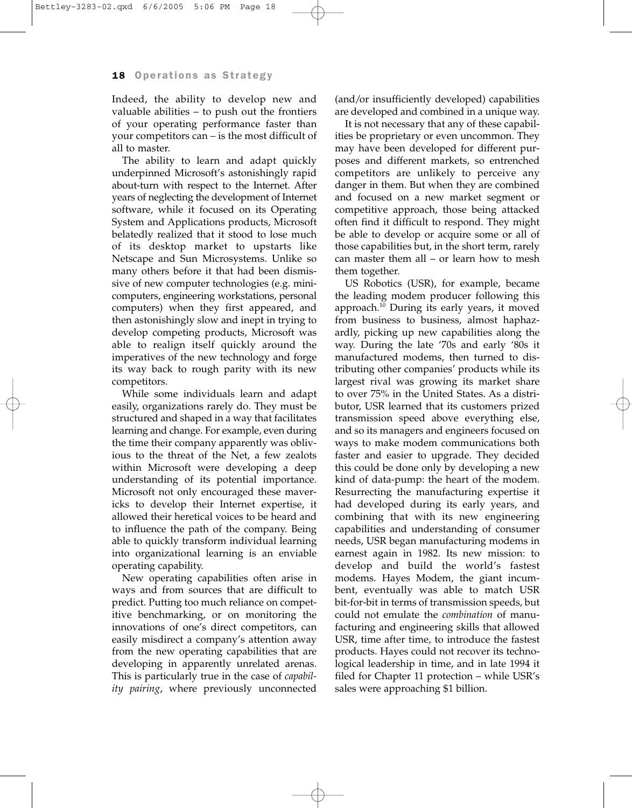Indeed, the ability to develop new and valuable abilities – to push out the frontiers of your operating performance faster than your competitors can – is the most difficult of all to master.

The ability to learn and adapt quickly underpinned Microsoft's astonishingly rapid about-turn with respect to the Internet. After years of neglecting the development of Internet software, while it focused on its Operating System and Applications products, Microsoft belatedly realized that it stood to lose much of its desktop market to upstarts like Netscape and Sun Microsystems. Unlike so many others before it that had been dismissive of new computer technologies (e.g. minicomputers, engineering workstations, personal computers) when they first appeared, and then astonishingly slow and inept in trying to develop competing products, Microsoft was able to realign itself quickly around the imperatives of the new technology and forge its way back to rough parity with its new competitors.

While some individuals learn and adapt easily, organizations rarely do. They must be structured and shaped in a way that facilitates learning and change. For example, even during the time their company apparently was oblivious to the threat of the Net, a few zealots within Microsoft were developing a deep understanding of its potential importance. Microsoft not only encouraged these mavericks to develop their Internet expertise, it allowed their heretical voices to be heard and to influence the path of the company. Being able to quickly transform individual learning into organizational learning is an enviable operating capability.

New operating capabilities often arise in ways and from sources that are difficult to predict. Putting too much reliance on competitive benchmarking, or on monitoring the innovations of one's direct competitors, can easily misdirect a company's attention away from the new operating capabilities that are developing in apparently unrelated arenas. This is particularly true in the case of *capability pairing*, where previously unconnected

(and/or insufficiently developed) capabilities are developed and combined in a unique way.

It is not necessary that any of these capabilities be proprietary or even uncommon. They may have been developed for different purposes and different markets, so entrenched competitors are unlikely to perceive any danger in them. But when they are combined and focused on a new market segment or competitive approach, those being attacked often find it difficult to respond. They might be able to develop or acquire some or all of those capabilities but, in the short term, rarely can master them all – or learn how to mesh them together.

US Robotics (USR), for example, became the leading modem producer following this approach.10 During its early years, it moved from business to business, almost haphazardly, picking up new capabilities along the way. During the late '70s and early '80s it manufactured modems, then turned to distributing other companies' products while its largest rival was growing its market share to over 75% in the United States. As a distributor, USR learned that its customers prized transmission speed above everything else, and so its managers and engineers focused on ways to make modem communications both faster and easier to upgrade. They decided this could be done only by developing a new kind of data-pump: the heart of the modem. Resurrecting the manufacturing expertise it had developed during its early years, and combining that with its new engineering capabilities and understanding of consumer needs, USR began manufacturing modems in earnest again in 1982. Its new mission: to develop and build the world's fastest modems. Hayes Modem, the giant incumbent, eventually was able to match USR bit-for-bit in terms of transmission speeds, but could not emulate the *combination* of manufacturing and engineering skills that allowed USR, time after time, to introduce the fastest products. Hayes could not recover its technological leadership in time, and in late 1994 it filed for Chapter 11 protection – while USR's sales were approaching \$1 billion.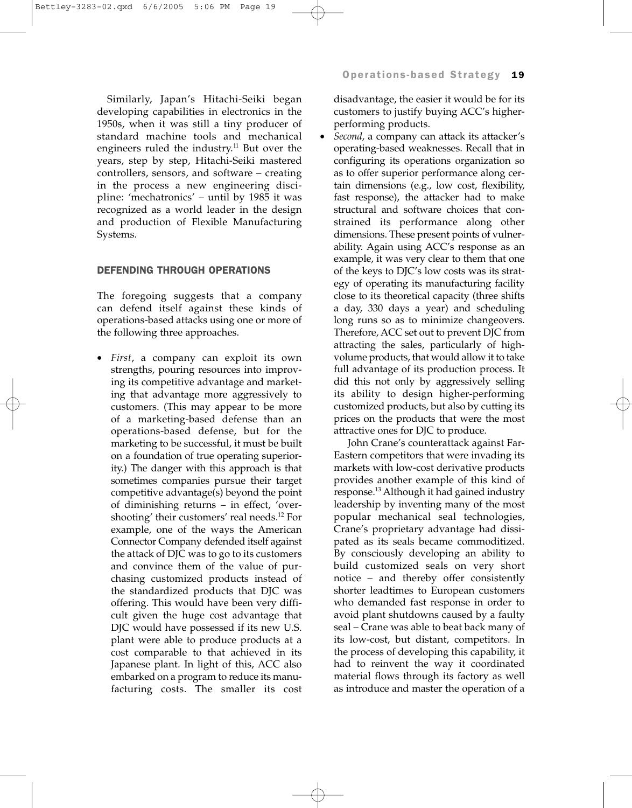Similarly, Japan's Hitachi-Seiki began developing capabilities in electronics in the 1950s, when it was still a tiny producer of standard machine tools and mechanical engineers ruled the industry.<sup>11</sup> But over the years, step by step, Hitachi-Seiki mastered controllers, sensors, and software – creating in the process a new engineering discipline: 'mechatronics' – until by 1985 it was recognized as a world leader in the design and production of Flexible Manufacturing Systems.

#### DEFENDING THROUGH OPERATIONS

The foregoing suggests that a company can defend itself against these kinds of operations-based attacks using one or more of the following three approaches.

• *First*, a company can exploit its own strengths, pouring resources into improving its competitive advantage and marketing that advantage more aggressively to customers. (This may appear to be more of a marketing-based defense than an operations-based defense, but for the marketing to be successful, it must be built on a foundation of true operating superiority.) The danger with this approach is that sometimes companies pursue their target competitive advantage(s) beyond the point of diminishing returns – in effect, 'overshooting' their customers' real needs.<sup>12</sup> For example, one of the ways the American Connector Company defended itself against the attack of DJC was to go to its customers and convince them of the value of purchasing customized products instead of the standardized products that DJC was offering. This would have been very difficult given the huge cost advantage that DJC would have possessed if its new U.S. plant were able to produce products at a cost comparable to that achieved in its Japanese plant. In light of this, ACC also embarked on a program to reduce its manufacturing costs. The smaller its cost

disadvantage, the easier it would be for its customers to justify buying ACC's higherperforming products.

Second, a company can attack its attacker's operating-based weaknesses. Recall that in configuring its operations organization so as to offer superior performance along certain dimensions (e.g., low cost, flexibility, fast response), the attacker had to make structural and software choices that constrained its performance along other dimensions. These present points of vulnerability. Again using ACC's response as an example, it was very clear to them that one of the keys to DJC's low costs was its strategy of operating its manufacturing facility close to its theoretical capacity (three shifts a day, 330 days a year) and scheduling long runs so as to minimize changeovers. Therefore, ACC set out to prevent DJC from attracting the sales, particularly of highvolume products, that would allow it to take full advantage of its production process. It did this not only by aggressively selling its ability to design higher-performing customized products, but also by cutting its prices on the products that were the most attractive ones for DJC to produce.

John Crane's counterattack against Far-Eastern competitors that were invading its markets with low-cost derivative products provides another example of this kind of response.13 Although it had gained industry leadership by inventing many of the most popular mechanical seal technologies, Crane's proprietary advantage had dissipated as its seals became commoditized. By consciously developing an ability to build customized seals on very short notice – and thereby offer consistently shorter leadtimes to European customers who demanded fast response in order to avoid plant shutdowns caused by a faulty seal – Crane was able to beat back many of its low-cost, but distant, competitors. In the process of developing this capability, it had to reinvent the way it coordinated material flows through its factory as well as introduce and master the operation of a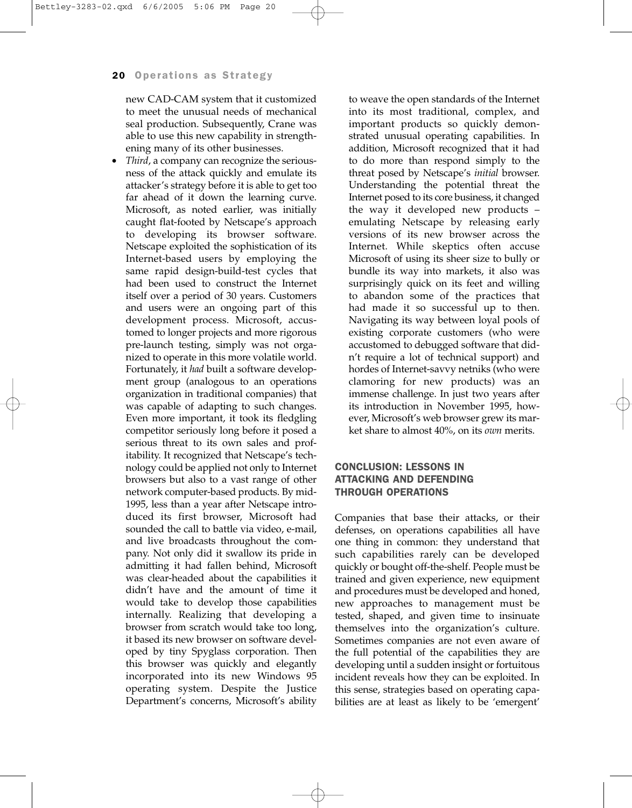new CAD-CAM system that it customized to meet the unusual needs of mechanical seal production. Subsequently, Crane was able to use this new capability in strengthening many of its other businesses.

• *Third*, a company can recognize the seriousness of the attack quickly and emulate its attacker's strategy before it is able to get too far ahead of it down the learning curve. Microsoft, as noted earlier, was initially caught flat-footed by Netscape's approach to developing its browser software. Netscape exploited the sophistication of its Internet-based users by employing the same rapid design-build-test cycles that had been used to construct the Internet itself over a period of 30 years. Customers and users were an ongoing part of this development process. Microsoft, accustomed to longer projects and more rigorous pre-launch testing, simply was not organized to operate in this more volatile world. Fortunately, it *had* built a software development group (analogous to an operations organization in traditional companies) that was capable of adapting to such changes. Even more important, it took its fledgling competitor seriously long before it posed a serious threat to its own sales and profitability. It recognized that Netscape's technology could be applied not only to Internet browsers but also to a vast range of other network computer-based products. By mid-1995, less than a year after Netscape introduced its first browser, Microsoft had sounded the call to battle via video, e-mail, and live broadcasts throughout the company. Not only did it swallow its pride in admitting it had fallen behind, Microsoft was clear-headed about the capabilities it didn't have and the amount of time it would take to develop those capabilities internally. Realizing that developing a browser from scratch would take too long, it based its new browser on software developed by tiny Spyglass corporation. Then this browser was quickly and elegantly incorporated into its new Windows 95 operating system. Despite the Justice Department's concerns, Microsoft's ability

to weave the open standards of the Internet into its most traditional, complex, and important products so quickly demonstrated unusual operating capabilities. In addition, Microsoft recognized that it had to do more than respond simply to the threat posed by Netscape's *initial* browser. Understanding the potential threat the Internet posed to its core business, it changed the way it developed new products – emulating Netscape by releasing early versions of its new browser across the Internet. While skeptics often accuse Microsoft of using its sheer size to bully or bundle its way into markets, it also was surprisingly quick on its feet and willing to abandon some of the practices that had made it so successful up to then. Navigating its way between loyal pools of existing corporate customers (who were accustomed to debugged software that didn't require a lot of technical support) and hordes of Internet-savvy netniks (who were clamoring for new products) was an immense challenge. In just two years after its introduction in November 1995, however, Microsoft's web browser grew its market share to almost 40%, on its *own* merits.

## CONCLUSION: LESSONS IN ATTACKING AND DEFENDING THROUGH OPERATIONS

Companies that base their attacks, or their defenses, on operations capabilities all have one thing in common: they understand that such capabilities rarely can be developed quickly or bought off-the-shelf. People must be trained and given experience, new equipment and procedures must be developed and honed, new approaches to management must be tested, shaped, and given time to insinuate themselves into the organization's culture. Sometimes companies are not even aware of the full potential of the capabilities they are developing until a sudden insight or fortuitous incident reveals how they can be exploited. In this sense, strategies based on operating capabilities are at least as likely to be 'emergent'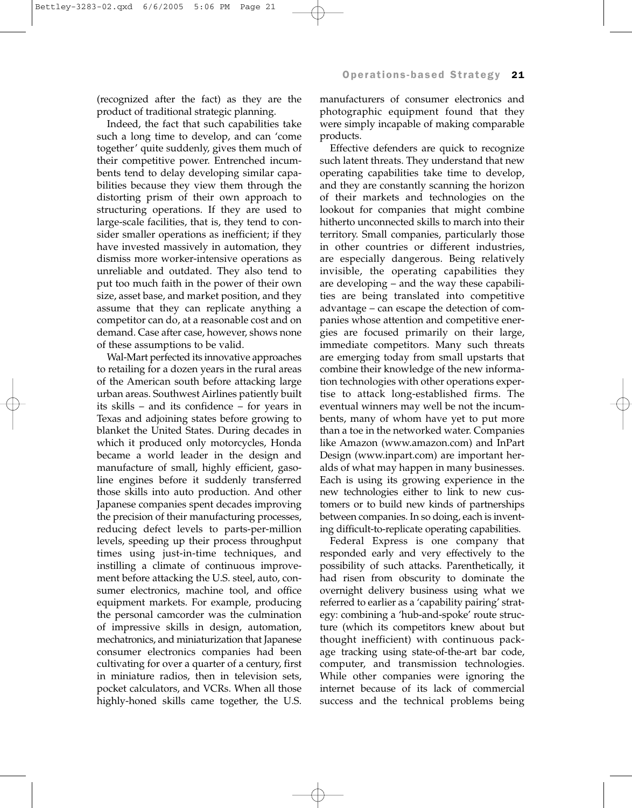(recognized after the fact) as they are the product of traditional strategic planning.

Indeed, the fact that such capabilities take such a long time to develop, and can 'come together' quite suddenly, gives them much of their competitive power. Entrenched incumbents tend to delay developing similar capabilities because they view them through the distorting prism of their own approach to structuring operations. If they are used to large-scale facilities, that is, they tend to consider smaller operations as inefficient; if they have invested massively in automation, they dismiss more worker-intensive operations as unreliable and outdated. They also tend to put too much faith in the power of their own size, asset base, and market position, and they assume that they can replicate anything a competitor can do, at a reasonable cost and on demand. Case after case, however, shows none of these assumptions to be valid.

Wal-Mart perfected its innovative approaches to retailing for a dozen years in the rural areas of the American south before attacking large urban areas. Southwest Airlines patiently built its skills – and its confidence – for years in Texas and adjoining states before growing to blanket the United States. During decades in which it produced only motorcycles, Honda became a world leader in the design and manufacture of small, highly efficient, gasoline engines before it suddenly transferred those skills into auto production. And other Japanese companies spent decades improving the precision of their manufacturing processes, reducing defect levels to parts-per-million levels, speeding up their process throughput times using just-in-time techniques, and instilling a climate of continuous improvement before attacking the U.S. steel, auto, consumer electronics, machine tool, and office equipment markets. For example, producing the personal camcorder was the culmination of impressive skills in design, automation, mechatronics, and miniaturization that Japanese consumer electronics companies had been cultivating for over a quarter of a century, first in miniature radios, then in television sets, pocket calculators, and VCRs. When all those highly-honed skills came together, the U.S. manufacturers of consumer electronics and photographic equipment found that they were simply incapable of making comparable products.

Effective defenders are quick to recognize such latent threats. They understand that new operating capabilities take time to develop, and they are constantly scanning the horizon of their markets and technologies on the lookout for companies that might combine hitherto unconnected skills to march into their territory. Small companies, particularly those in other countries or different industries, are especially dangerous. Being relatively invisible, the operating capabilities they are developing – and the way these capabilities are being translated into competitive advantage – can escape the detection of companies whose attention and competitive energies are focused primarily on their large, immediate competitors. Many such threats are emerging today from small upstarts that combine their knowledge of the new information technologies with other operations expertise to attack long-established firms. The eventual winners may well be not the incumbents, many of whom have yet to put more than a toe in the networked water. Companies like Amazon (www.amazon.com) and InPart Design (www.inpart.com) are important heralds of what may happen in many businesses. Each is using its growing experience in the new technologies either to link to new customers or to build new kinds of partnerships between companies. In so doing, each is inventing difficult-to-replicate operating capabilities.

Federal Express is one company that responded early and very effectively to the possibility of such attacks. Parenthetically, it had risen from obscurity to dominate the overnight delivery business using what we referred to earlier as a 'capability pairing' strategy: combining a 'hub-and-spoke' route structure (which its competitors knew about but thought inefficient) with continuous package tracking using state-of-the-art bar code, computer, and transmission technologies. While other companies were ignoring the internet because of its lack of commercial success and the technical problems being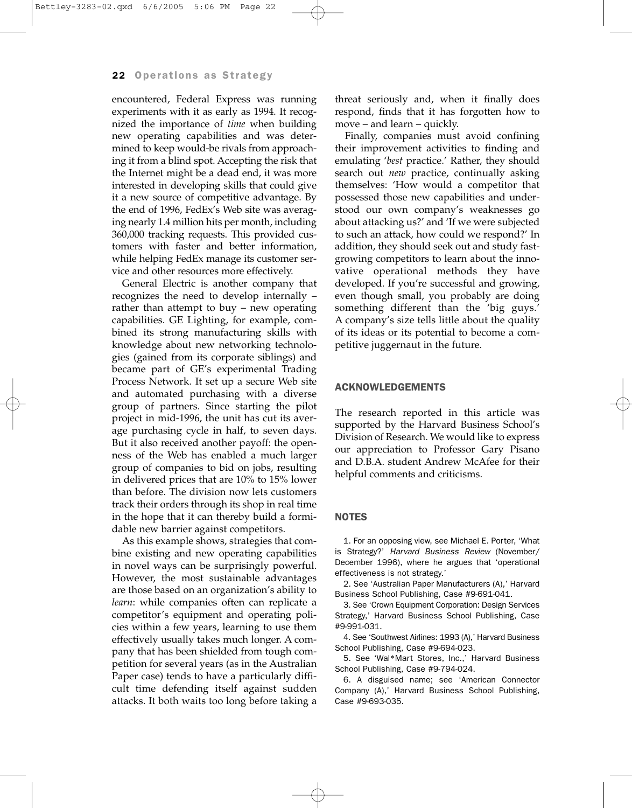encountered, Federal Express was running experiments with it as early as 1994. It recognized the importance of *time* when building new operating capabilities and was determined to keep would-be rivals from approaching it from a blind spot. Accepting the risk that the Internet might be a dead end, it was more interested in developing skills that could give it a new source of competitive advantage. By the end of 1996, FedEx's Web site was averaging nearly 1.4 million hits per month, including 360,000 tracking requests. This provided customers with faster and better information, while helping FedEx manage its customer service and other resources more effectively.

General Electric is another company that recognizes the need to develop internally – rather than attempt to buy – new operating capabilities. GE Lighting, for example, combined its strong manufacturing skills with knowledge about new networking technologies (gained from its corporate siblings) and became part of GE's experimental Trading Process Network. It set up a secure Web site and automated purchasing with a diverse group of partners. Since starting the pilot project in mid-1996, the unit has cut its average purchasing cycle in half, to seven days. But it also received another payoff: the openness of the Web has enabled a much larger group of companies to bid on jobs, resulting in delivered prices that are 10% to 15% lower than before. The division now lets customers track their orders through its shop in real time in the hope that it can thereby build a formidable new barrier against competitors.

As this example shows, strategies that combine existing and new operating capabilities in novel ways can be surprisingly powerful. However, the most sustainable advantages are those based on an organization's ability to *learn*: while companies often can replicate a competitor's equipment and operating policies within a few years, learning to use them effectively usually takes much longer. A company that has been shielded from tough competition for several years (as in the Australian Paper case) tends to have a particularly difficult time defending itself against sudden attacks. It both waits too long before taking a threat seriously and, when it finally does respond, finds that it has forgotten how to move – and learn – quickly.

Finally, companies must avoid confining their improvement activities to finding and emulating '*best* practice.' Rather, they should search out *new* practice, continually asking themselves: 'How would a competitor that possessed those new capabilities and understood our own company's weaknesses go about attacking us?' and 'If we were subjected to such an attack, how could we respond?' In addition, they should seek out and study fastgrowing competitors to learn about the innovative operational methods they have developed. If you're successful and growing, even though small, you probably are doing something different than the 'big guys.' A company's size tells little about the quality of its ideas or its potential to become a competitive juggernaut in the future.

#### ACKNOWLEDGEMENTS

The research reported in this article was supported by the Harvard Business School's Division of Research. We would like to express our appreciation to Professor Gary Pisano and D.B.A. student Andrew McAfee for their helpful comments and criticisms.

#### NOTES

1. For an opposing view, see Michael E. Porter, 'What is Strategy?' Harvard Business Review (November/ December 1996), where he argues that 'operational effectiveness is not strategy.'

2. See 'Australian Paper Manufacturers (A),' Harvard Business School Publishing, Case #9-691-041.

3. See 'Crown Equipment Corporation: Design Services Strategy,' Harvard Business School Publishing, Case #9-991-031.

4. See 'Southwest Airlines: 1993 (A),' Harvard Business School Publishing, Case #9-694-023.

5. See 'Wal\*Mart Stores, Inc.,' Harvard Business School Publishing, Case #9-794-024.

6. A disguised name; see 'American Connector Company (A),' Harvard Business School Publishing, Case #9-693-035.